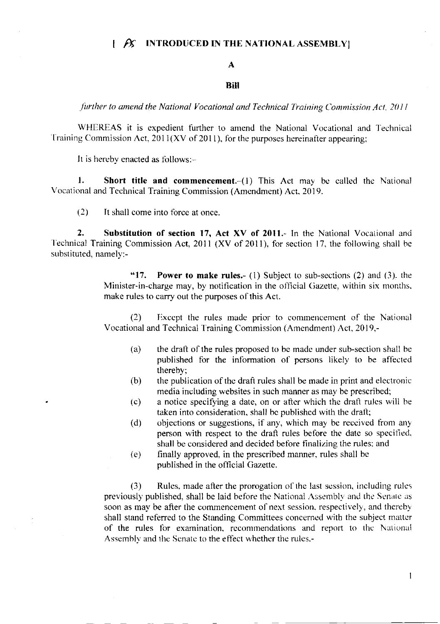#### $\beta$  INTRODUCED IN THE NATIONAL ASSEMBLY Ł

# $\mathbf{A}$

### Bill

further to amend the National Vocational and Technical Training Commission Act, 2011

WHEREAS it is expedient further to amend the National Vocational and Technical Training Commission Act,  $2011(XV)$  of 2011), for the purposes hereinafter appearing;

It is hereby enacted as follows:-

1. **Short title and commencement.**  $-(1)$  This Act may be called the National Vocational and Technical Training Commission (Amendment) Act, 2019.

 $(2)$ It shall come into force at once.

 $2.$ Substitution of section 17, Act XV of 2011.- In the National Vocational and Technical Training Commission Act, 2011 (XV of 2011), for section 17, the following shall be substituted, namely:-

> $"17."$ **Power to make rules.**- (1) Subject to sub-sections  $(2)$  and  $(3)$ , the Minister-in-charge may, by notification in the official Gazette, within six months, make rules to carry out the purposes of this Act.

> $(2)$ Except the rules made prior to commencement of the National Vocational and Technical Training Commission (Amendment) Act, 2019,-

- $(a)$ the draft of the rules proposed to be made under sub-section shall be published for the information of persons likely to be affected thereby:
- (b) the publication of the draft rules shall be made in print and electronic media including websites in such manner as may be prescribed;
- a notice specifying a date, on or after which the draft rules will be  $(c)$ taken into consideration, shall be published with the draft;
- objections or suggestions, if any, which may be received from any  $(d)$ person with respect to the draft rules before the date so specified, shall be considered and decided before finalizing the rules; and
- finally approved, in the prescribed manner, rules shall be  $(e)$ published in the official Gazette.

Rules, made after the prorogation of the last session, including rules  $(3)$ previously published, shall be laid before the National Assembly and the Senate as soon as may be after the commencement of next session, respectively, and thereby shall stand referred to the Standing Committees concerned with the subject matter of the rules for examination, recommendations and report to the National Assembly and the Senate to the effect whether the rules.-

 $\mathbf{1}$